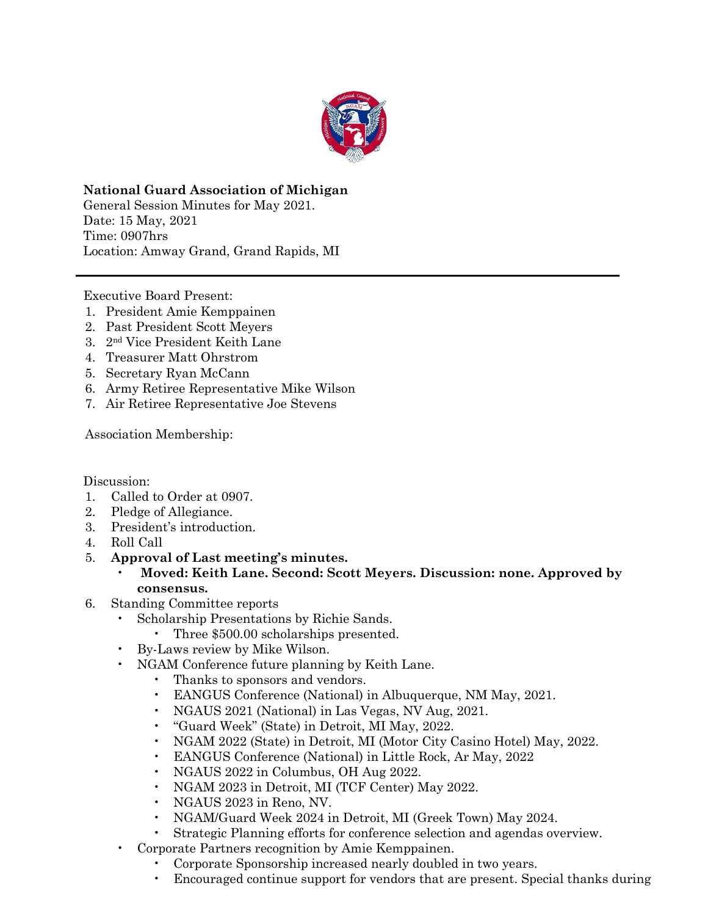

**National Guard Association of Michigan** General Session Minutes for May 2021. Date: 15 May, 2021 Time: 0907hrs Location: Amway Grand, Grand Rapids, MI

Executive Board Present:

- 1. President Amie Kemppainen
- 2. Past President Scott Meyers
- 3. 2nd Vice President Keith Lane
- 4. Treasurer Matt Ohrstrom
- 5. Secretary Ryan McCann
- 6. Army Retiree Representative Mike Wilson
- 7. Air Retiree Representative Joe Stevens

Association Membership:

Discussion:

- 1. Called to Order at 0907.
- 2. Pledge of Allegiance.
- 3. President's introduction.
- 4. Roll Call
- 5. **Approval of Last meeting's minutes.** 
	- **Moved: Keith Lane. Second: Scott Meyers. Discussion: none. Approved by consensus.**
- 6. Standing Committee reports
	- Scholarship Presentations by Richie Sands.
		- Three  $$500.00$  scholarships presented.
	- By-Laws review by Mike Wilson.
	- NGAM Conference future planning by Keith Lane.
		- Thanks to sponsors and vendors.
		- EANGUS Conference (National) in Albuquerque, NM May, 2021.
		- NGAUS 2021 (National) in Las Vegas, NV Aug, 2021.
		- "Guard Week" (State) in Detroit, MI May, 2022.
		- NGAM 2022 (State) in Detroit, MI (Motor City Casino Hotel) May, 2022.
		- EANGUS Conference (National) in Little Rock, Ar May, 2022
		- NGAUS 2022 in Columbus, OH Aug 2022.
		- NGAM 2023 in Detroit, MI (TCF Center) May 2022.
		- NGAUS 2023 in Reno, NV.
		- NGAM/Guard Week 2024 in Detroit, MI (Greek Town) May 2024.
		- Strategic Planning efforts for conference selection and agendas overview.
	- Corporate Partners recognition by Amie Kemppainen.
		- Corporate Sponsorship increased nearly doubled in two years.
		- Encouraged continue support for vendors that are present. Special thanks during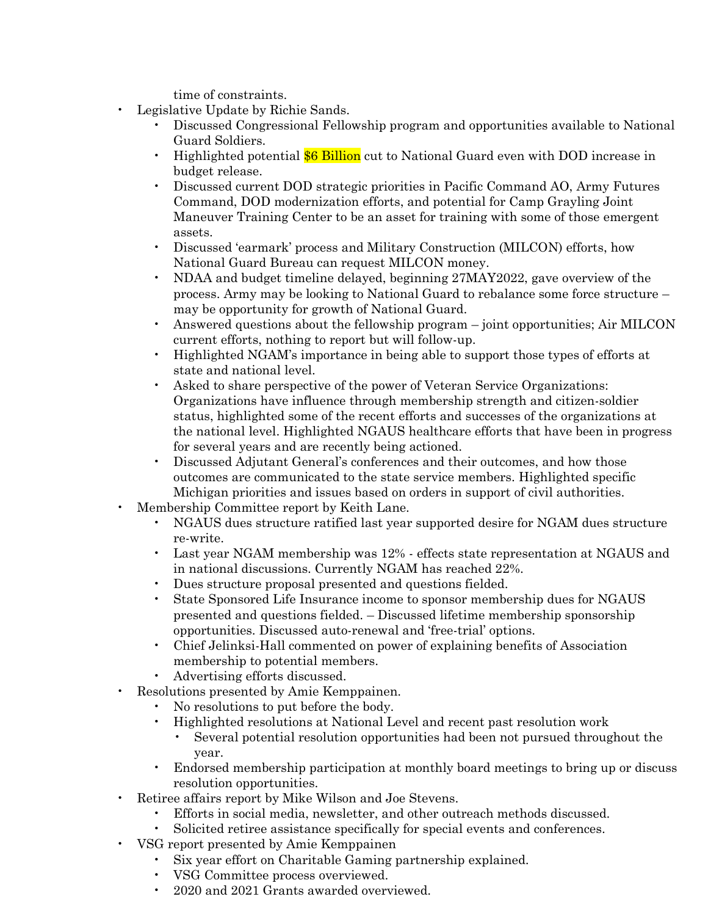time of constraints.

- Legislative Update by Richie Sands.
	- Discussed Congressional Fellowship program and opportunities available to National Guard Soldiers.
	- Highlighted potential \$6 Billion cut to National Guard even with DOD increase in budget release.
	- Discussed current DOD strategic priorities in Pacific Command AO, Army Futures Command, DOD modernization efforts, and potential for Camp Grayling Joint Maneuver Training Center to be an asset for training with some of those emergent assets.
	- Discussed 'earmark' process and Military Construction (MILCON) efforts, how National Guard Bureau can request MILCON money.
	- NDAA and budget timeline delayed, beginning 27MAY2022, gave overview of the process. Army may be looking to National Guard to rebalance some force structure – may be opportunity for growth of National Guard.
	- Answered questions about the fellowship program joint opportunities; Air MILCON current efforts, nothing to report but will follow-up.
	- Highlighted NGAM's importance in being able to support those types of efforts at state and national level.
	- Asked to share perspective of the power of Veteran Service Organizations: Organizations have influence through membership strength and citizen-soldier status, highlighted some of the recent efforts and successes of the organizations at the national level. Highlighted NGAUS healthcare efforts that have been in progress for several years and are recently being actioned.
	- Discussed Adjutant General's conferences and their outcomes, and how those outcomes are communicated to the state service members. Highlighted specific Michigan priorities and issues based on orders in support of civil authorities.
- Membership Committee report by Keith Lane.
	- NGAUS dues structure ratified last year supported desire for NGAM dues structure re-write.
	- Last year NGAM membership was 12% effects state representation at NGAUS and in national discussions. Currently NGAM has reached 22%.
	- Dues structure proposal presented and questions fielded.
	- State Sponsored Life Insurance income to sponsor membership dues for NGAUS presented and questions fielded. – Discussed lifetime membership sponsorship opportunities. Discussed auto-renewal and 'free-trial' options.
	- Chief Jelinksi-Hall commented on power of explaining benefits of Association membership to potential members.
	- Advertising efforts discussed.
- Resolutions presented by Amie Kemppainen.
	- No resolutions to put before the body.
	- Highlighted resolutions at National Level and recent past resolution work
		- Several potential resolution opportunities had been not pursued throughout the year.
	- Endorsed membership participation at monthly board meetings to bring up or discuss resolution opportunities.
- Retiree affairs report by Mike Wilson and Joe Stevens.
	- Efforts in social media, newsletter, and other outreach methods discussed.
	- Solicited retiree assistance specifically for special events and conferences.
- VSG report presented by Amie Kemppainen
	- Six year effort on Charitable Gaming partnership explained.
	- VSG Committee process overviewed.
	- 2020 and 2021 Grants awarded overviewed.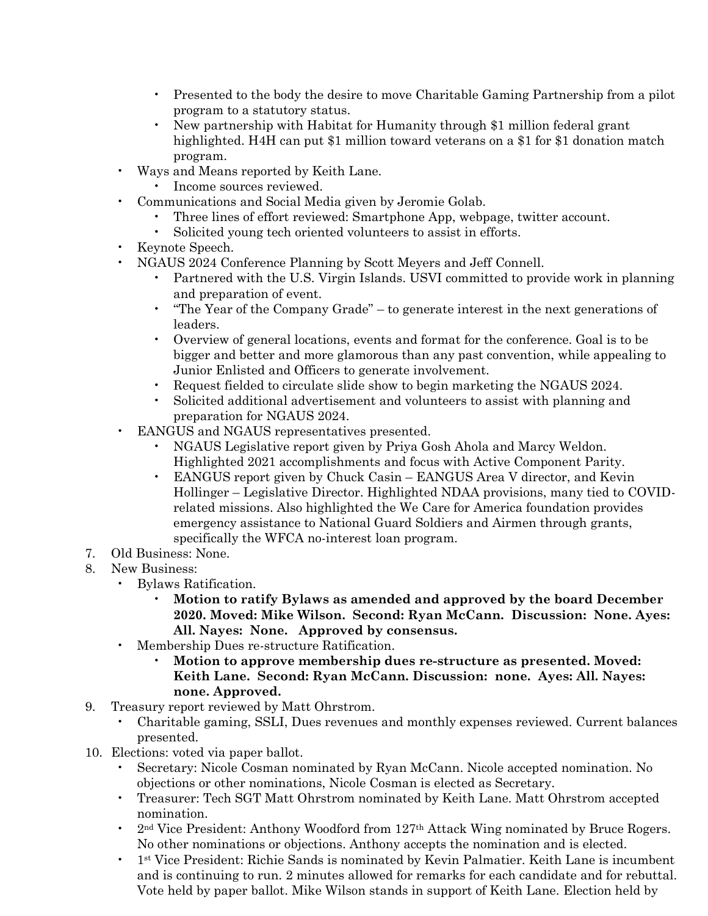- Presented to the body the desire to move Charitable Gaming Partnership from a pilot program to a statutory status.
- New partnership with Habitat for Humanity through \$1 million federal grant highlighted. H4H can put \$1 million toward veterans on a \$1 for \$1 donation match program.
- Ways and Means reported by Keith Lane.
	- Income sources reviewed.
- Communications and Social Media given by Jeromie Golab.
	- Three lines of effort reviewed: Smartphone App, webpage, twitter account.
	- Solicited young tech oriented volunteers to assist in efforts.
- Keynote Speech.
- NGAUS 2024 Conference Planning by Scott Meyers and Jeff Connell.
	- Partnered with the U.S. Virgin Islands. USVI committed to provide work in planning and preparation of event.
	- "The Year of the Company Grade" to generate interest in the next generations of leaders.
	- Overview of general locations, events and format for the conference. Goal is to be bigger and better and more glamorous than any past convention, while appealing to Junior Enlisted and Officers to generate involvement.
	- Request fielded to circulate slide show to begin marketing the NGAUS 2024.
	- Solicited additional advertisement and volunteers to assist with planning and preparation for NGAUS 2024.
- EANGUS and NGAUS representatives presented.
	- NGAUS Legislative report given by Priya Gosh Ahola and Marcy Weldon. Highlighted 2021 accomplishments and focus with Active Component Parity.
	- EANGUS report given by Chuck Casin EANGUS Area V director, and Kevin Hollinger – Legislative Director. Highlighted NDAA provisions, many tied to COVIDrelated missions. Also highlighted the We Care for America foundation provides emergency assistance to National Guard Soldiers and Airmen through grants, specifically the WFCA no-interest loan program.
- 7. Old Business: None.
- 8. New Business:
	- Bylaws Ratification.
		- **Motion to ratify Bylaws as amended and approved by the board December 2020. Moved: Mike Wilson. Second: Ryan McCann. Discussion: None. Ayes: All. Nayes: None. Approved by consensus.**
	- Membership Dues re-structure Ratification.
		- **Motion to approve membership dues re-structure as presented. Moved: Keith Lane. Second: Ryan McCann. Discussion: none. Ayes: All. Nayes: none. Approved.**
- 9. Treasury report reviewed by Matt Ohrstrom.
	- Charitable gaming, SSLI, Dues revenues and monthly expenses reviewed. Current balances presented.
- 10. Elections: voted via paper ballot.
	- Secretary: Nicole Cosman nominated by Ryan McCann. Nicole accepted nomination. No objections or other nominations, Nicole Cosman is elected as Secretary.
	- Treasurer: Tech SGT Matt Ohrstrom nominated by Keith Lane. Matt Ohrstrom accepted nomination.
	- 2nd Vice President: Anthony Woodford from 127th Attack Wing nominated by Bruce Rogers. No other nominations or objections. Anthony accepts the nomination and is elected.
	- 1st Vice President: Richie Sands is nominated by Kevin Palmatier. Keith Lane is incumbent and is continuing to run. 2 minutes allowed for remarks for each candidate and for rebuttal. Vote held by paper ballot. Mike Wilson stands in support of Keith Lane. Election held by